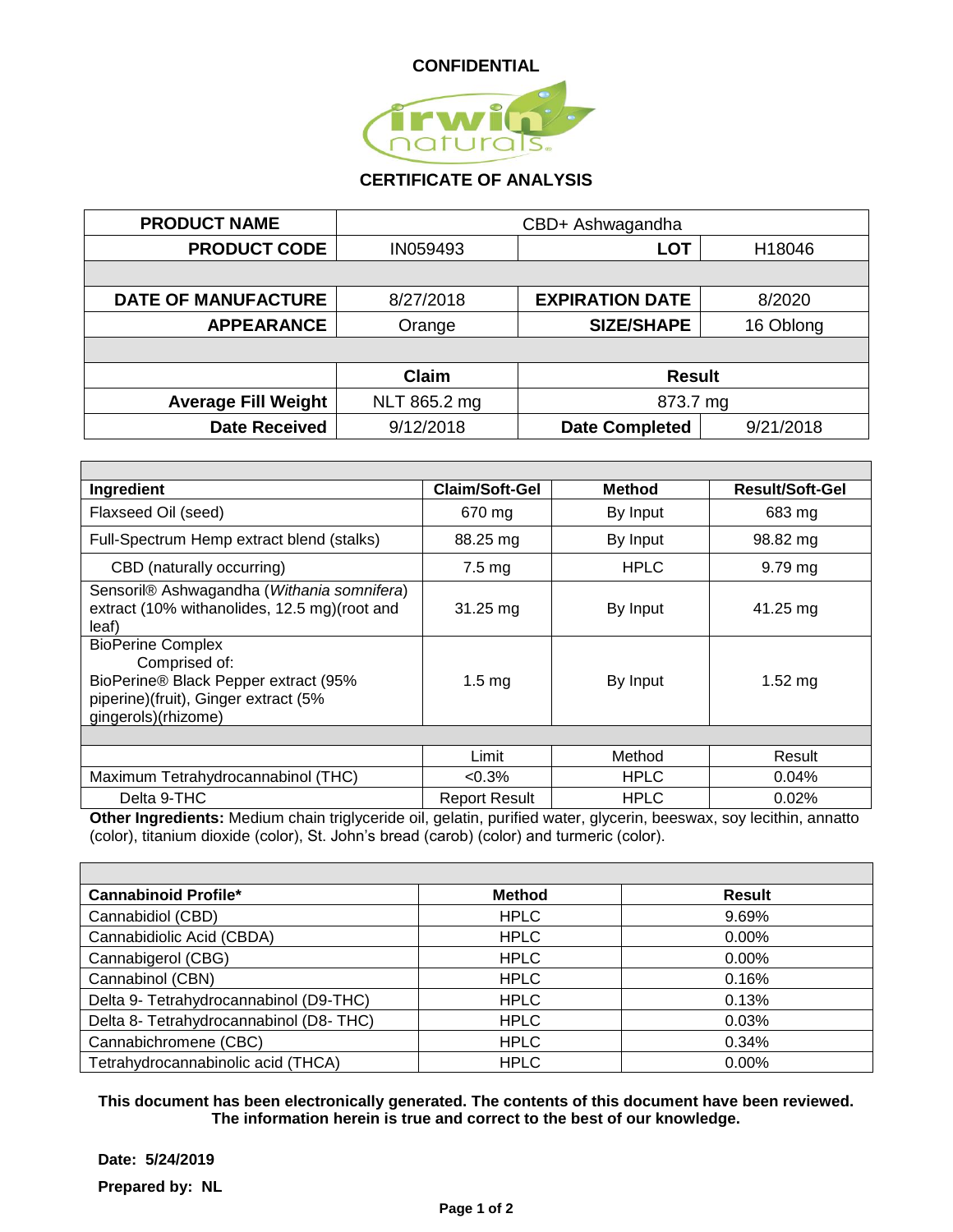

## **CERTIFICATE OF ANALYSIS**

| <b>PRODUCT NAME</b>        | CBD+ Ashwagandha |                        |           |
|----------------------------|------------------|------------------------|-----------|
| <b>PRODUCT CODE</b>        | IN059493         | <b>LOT</b>             | H18046    |
|                            |                  |                        |           |
| <b>DATE OF MANUFACTURE</b> | 8/27/2018        | <b>EXPIRATION DATE</b> | 8/2020    |
| <b>APPEARANCE</b>          | Orange           | <b>SIZE/SHAPE</b>      | 16 Oblong |
|                            |                  |                        |           |
|                            | <b>Claim</b>     | <b>Result</b>          |           |
| <b>Average Fill Weight</b> | NLT 865.2 mg     | 873.7 mg               |           |
| <b>Date Received</b>       | 9/12/2018        | <b>Date Completed</b>  | 9/21/2018 |

| Ingredient                                                                                                                                       | <b>Claim/Soft-Gel</b> | <b>Method</b> | <b>Result/Soft-Gel</b> |
|--------------------------------------------------------------------------------------------------------------------------------------------------|-----------------------|---------------|------------------------|
| Flaxseed Oil (seed)                                                                                                                              | 670 mg                | By Input      | 683 mg                 |
| Full-Spectrum Hemp extract blend (stalks)                                                                                                        | 88.25 mg              | By Input      | 98.82 mg               |
| CBD (naturally occurring)                                                                                                                        | $7.5 \text{ mg}$      | <b>HPLC</b>   | $9.79$ mg              |
| Sensoril® Ashwagandha (Withania somnifera)<br>extract (10% withanolides, 12.5 mg) (root and<br>leaf)                                             | $31.25 \, \text{mg}$  | By Input      | 41.25 mg               |
| <b>BioPerine Complex</b><br>Comprised of:<br>BioPerine® Black Pepper extract (95%<br>piperine)(fruit), Ginger extract (5%<br>gingerols)(rhizome) | 1.5 <sub>mq</sub>     | By Input      | $1.52$ mg              |
|                                                                                                                                                  |                       |               |                        |
|                                                                                                                                                  | Limit                 | Method        | Result                 |
| Maximum Tetrahydrocannabinol (THC)                                                                                                               | $< 0.3\%$             | <b>HPLC</b>   | $0.04\%$               |
| Delta 9-THC                                                                                                                                      | <b>Report Result</b>  | <b>HPLC</b>   | 0.02%                  |

**Other Ingredients:** Medium chain triglyceride oil, gelatin, purified water, glycerin, beeswax, soy lecithin, annatto (color), titanium dioxide (color), St. John's bread (carob) (color) and turmeric (color).

| <b>Cannabinoid Profile*</b>             | <b>Method</b> | <b>Result</b> |
|-----------------------------------------|---------------|---------------|
| Cannabidiol (CBD)                       | <b>HPLC</b>   | 9.69%         |
| Cannabidiolic Acid (CBDA)               | <b>HPLC</b>   | $0.00\%$      |
| Cannabigerol (CBG)                      | <b>HPLC</b>   | 0.00%         |
| Cannabinol (CBN)                        | <b>HPLC</b>   | 0.16%         |
| Delta 9- Tetrahydrocannabinol (D9-THC)  | <b>HPLC</b>   | 0.13%         |
| Delta 8- Tetrahydrocannabinol (D8- THC) | <b>HPLC</b>   | 0.03%         |
| Cannabichromene (CBC)                   | <b>HPLC</b>   | 0.34%         |
| Tetrahydrocannabinolic acid (THCA)      | <b>HPLC</b>   | $0.00\%$      |

**This document has been electronically generated. The contents of this document have been reviewed. The information herein is true and correct to the best of our knowledge.**

**Date: 5/24/2019 Prepared by: NL**